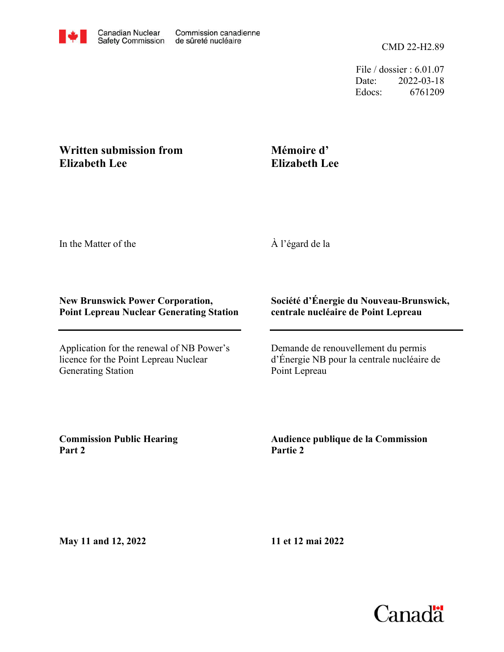File / dossier : 6.01.07 Date: 2022-03-18 Edocs: 6761209

# **Written submission from Elizabeth Lee**

# **Mémoire d' Elizabeth Lee**

In the Matter of the

À l'égard de la

### **New Brunswick Power Corporation, Point Lepreau Nuclear Generating Station**

Application for the renewal of NB Power's licence for the Point Lepreau Nuclear Generating Station

## **Société d'Énergie du Nouveau-Brunswick, centrale nucléaire de Point Lepreau**

Demande de renouvellement du permis d'Énergie NB pour la centrale nucléaire de Point Lepreau

**Commission Public Hearing Part 2**

**Audience publique de la Commission Partie 2**

**May 11 and 12, 2022**

**11 et 12 mai 2022**

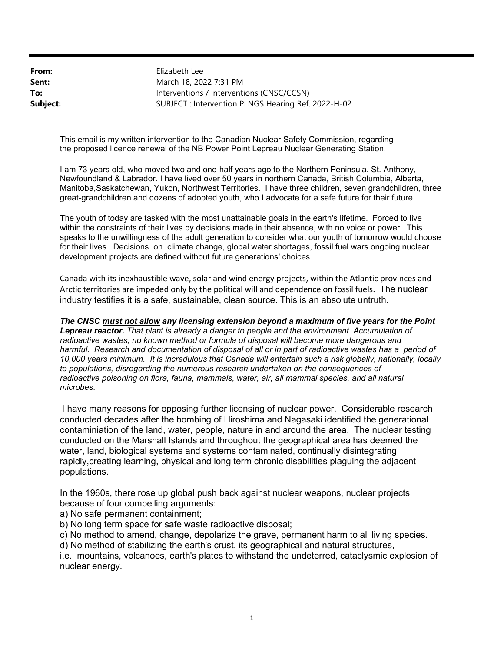From: Sent: To: Subject: SUBJECT : Intervention PLNGS Hearing Ref. 2022-H-02 Interventions / Interventions (CNSC/CCSN) March 18, 2022 7:31 PM Elizabeth Lee

This email is my written intervention to the Canadian Nuclear Safety Commission, regarding the proposed licence renewal of the NB Power Point Lepreau Nuclear Generating Station.

I am 73 years old, who moved two and one-half years ago to the Northern Peninsula, St. Anthony, Newfoundland & Labrador. I have lived over 50 years in northern Canada, British Columbia, Alberta, Manitoba,Saskatchewan, Yukon, Northwest Territories. I have three children, seven grandchildren, three great-grandchildren and dozens of adopted youth, who I advocate for a safe future for their future.

The youth of today are tasked with the most unattainable goals in the earth's lifetime. Forced to live within the constraints of their lives by decisions made in their absence, with no voice or power. This speaks to the unwillingness of the adult generation to consider what our youth of tomorrow would choose for their lives. Decisions on climate change, global water shortages, fossil fuel wars.ongoing nuclear development projects are defined without future generations' choices.

Canada with its inexhaustible wave, solar and wind energy projects, within the Atlantic provinces and Arctic territories are impeded only by the political will and dependence on fossil fuels. The nuclear industry testifies it is a safe, sustainable, clean source. This is an absolute untruth.

The CNSC must not allow any licensing extension beyond a maximum of five years for the Point Lepreau reactor. That plant is already a danger to people and the environment. Accumulation of radioactive wastes, no known method or formula of disposal will become more dangerous and harmful. Research and documentation of disposal of all or in part of radioactive wastes has a period of 10,000 years minimum. It is incredulous that Canada will entertain such a risk globally, nationally, locally to populations, disregarding the numerous research undertaken on the consequences of radioactive poisoning on flora, fauna, mammals, water, air, all mammal species, and all natural microbes.

I have many reasons for opposing further licensing of nuclear power. Considerable research conducted decades after the bombing of Hiroshima and Nagasaki identified the generational contaminiation of the land, water, people, nature in and around the area. The nuclear testing conducted on the Marshall Islands and throughout the geographical area has deemed the water, land, biological systems and systems contaminated, continually disintegrating rapidly,creating learning, physical and long term chronic disabilities plaguing the adjacent populations.

In the 1960s, there rose up global push back against nuclear weapons, nuclear projects because of four compelling arguments:

a) No safe permanent containment;

b) No long term space for safe waste radioactive disposal;

c) No method to amend, change, depolarize the grave, permanent harm to all living species.

d) No method of stabilizing the earth's crust, its geographical and natural structures,

i.e. mountains, volcanoes, earth's plates to withstand the undeterred, cataclysmic explosion of nuclear energy.